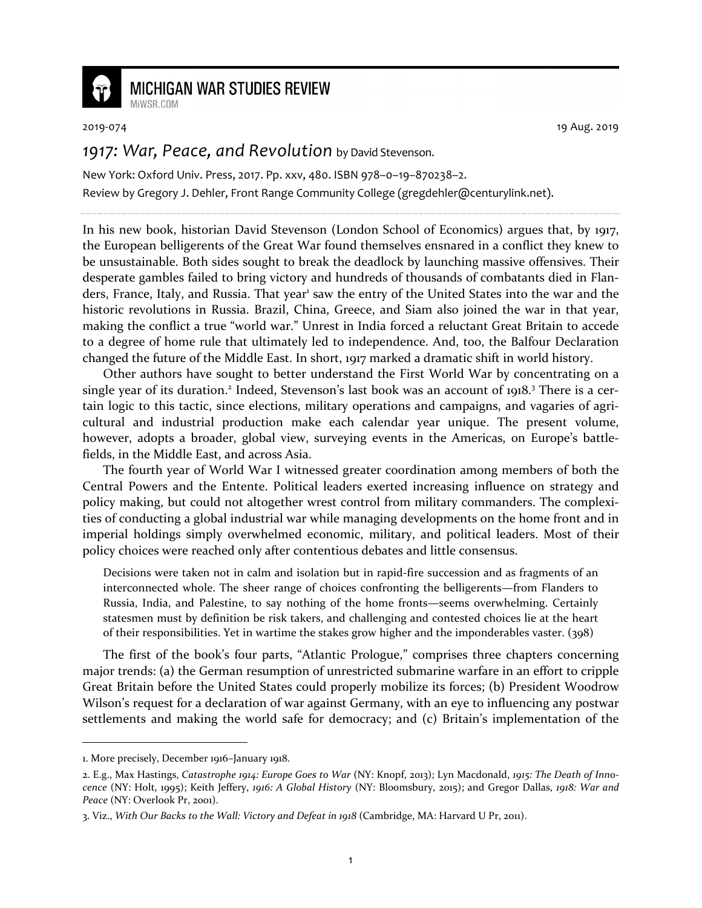

## **MICHIGAN WAR STUDIES REVIEW**

MiWSR COM

2019-074 19 Aug. 2019

## *1917: War, Peace, and Revolution* by David Stevenson.

New York: Oxford Univ. Press, 2017. Pp. xxv, 480. ISBN 978–0–19–870238–2. Review by Gregory J. Dehler, Front Range Community College (gregdehler@centurylink.net).

In his new book, historian David Stevenson (London School of Economics) argues that, by 1917, the European belligerents of the Great War found themselves ensnared in a conflict they knew to be unsustainable. Both sides sought to break the deadlock by launching massive offensives. Their desperate gambles failed to bring victory and hundreds of thousands of combatants died in Flanders, France, Italy, and Russia. That year<sup>1</sup> saw the entry of the United States into the war and the historic revolutions in Russia. Brazil, China, Greece, and Siam also joined the war in that year, making the conflict a true "world war." Unrest in India forced a reluctant Great Britain to accede to a degree of home rule that ultimately led to independence. And, too, the Balfour Declaration changed the future of the Middle East. In short, 1917 marked a dramatic shift in world history.

Other authors have sought to better understand the First World War by concentrating on a single year of its duration.<sup>2</sup> Indeed, Stevenson's last book was an account of 1918.<sup>3</sup> There is a certain logic to this tactic, since elections, military operations and campaigns, and vagaries of agricultural and industrial production make each calendar year unique. The present volume, however, adopts a broader, global view, surveying events in the Americas, on Europe's battlefields, in the Middle East, and across Asia.

The fourth year of World War I witnessed greater coordination among members of both the Central Powers and the Entente. Political leaders exerted increasing influence on strategy and policy making, but could not altogether wrest control from military commanders. The complexities of conducting a global industrial war while managing developments on the home front and in imperial holdings simply overwhelmed economic, military, and political leaders. Most of their policy choices were reached only after contentious debates and little consensus.

Decisions were taken not in calm and isolation but in rapid-fire succession and as fragments of an interconnected whole. The sheer range of choices confronting the belligerents—from Flanders to Russia, India, and Palestine, to say nothing of the home fronts—seems overwhelming. Certainly statesmen must by definition be risk takers, and challenging and contested choices lie at the heart of their responsibilities. Yet in wartime the stakes grow higher and the imponderables vaster. (398)

The first of the book's four parts, "Atlantic Prologue," comprises three chapters concerning major trends: (a) the German resumption of unrestricted submarine warfare in an effort to cripple Great Britain before the United States could properly mobilize its forces; (b) President Woodrow Wilson's request for a declaration of war against Germany, with an eye to influencing any postwar settlements and making the world safe for democracy; and (c) Britain's implementation of the

<sup>1.</sup> More precisely, December 1916–January 1918.

<sup>2.</sup> E.g., Max Hastings, *Catastrophe 1914: Europe Goes to War* (NY: Knopf, 2013); Lyn Macdonald, *1915: The Death of Innocence* (NY: Holt, 1995); Keith Jeffery, *1916: A Global History* (NY: Bloomsbury, 2015); and Gregor Dallas, *1918: War and Peace* (NY: Overlook Pr, 2001).

<sup>3.</sup> Viz., *With Our Backs to the Wall: Victory and Defeat in 1918* (Cambridge, MA: Harvard U Pr, 2011).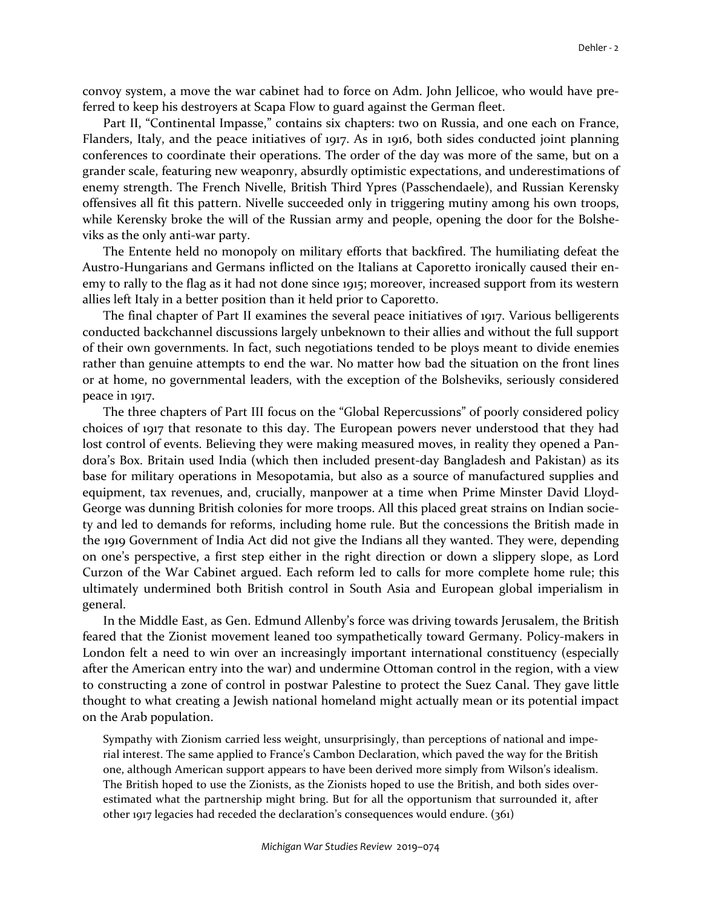convoy system, a move the war cabinet had to force on Adm. John Jellicoe, who would have preferred to keep his destroyers at Scapa Flow to guard against the German fleet.

Part II, "Continental Impasse," contains six chapters: two on Russia, and one each on France, Flanders, Italy, and the peace initiatives of 1917. As in 1916, both sides conducted joint planning conferences to coordinate their operations. The order of the day was more of the same, but on a grander scale, featuring new weaponry, absurdly optimistic expectations, and underestimations of enemy strength. The French Nivelle, British Third Ypres (Passchendaele), and Russian Kerensky offensives all fit this pattern. Nivelle succeeded only in triggering mutiny among his own troops, while Kerensky broke the will of the Russian army and people, opening the door for the Bolsheviks as the only anti-war party.

The Entente held no monopoly on military efforts that backfired. The humiliating defeat the Austro-Hungarians and Germans inflicted on the Italians at Caporetto ironically caused their enemy to rally to the flag as it had not done since 1915; moreover, increased support from its western allies left Italy in a better position than it held prior to Caporetto.

The final chapter of Part II examines the several peace initiatives of 1917. Various belligerents conducted backchannel discussions largely unbeknown to their allies and without the full support of their own governments. In fact, such negotiations tended to be ploys meant to divide enemies rather than genuine attempts to end the war. No matter how bad the situation on the front lines or at home, no governmental leaders, with the exception of the Bolsheviks, seriously considered peace in 1917.

The three chapters of Part III focus on the "Global Repercussions" of poorly considered policy choices of 1917 that resonate to this day. The European powers never understood that they had lost control of events. Believing they were making measured moves, in reality they opened a Pandora's Box. Britain used India (which then included present-day Bangladesh and Pakistan) as its base for military operations in Mesopotamia, but also as a source of manufactured supplies and equipment, tax revenues, and, crucially, manpower at a time when Prime Minster David Lloyd-George was dunning British colonies for more troops. All this placed great strains on Indian society and led to demands for reforms, including home rule. But the concessions the British made in the 1919 Government of India Act did not give the Indians all they wanted. They were, depending on one's perspective, a first step either in the right direction or down a slippery slope, as Lord Curzon of the War Cabinet argued. Each reform led to calls for more complete home rule; this ultimately undermined both British control in South Asia and European global imperialism in general.

In the Middle East, as Gen. Edmund Allenby's force was driving towards Jerusalem, the British feared that the Zionist movement leaned too sympathetically toward Germany. Policy-makers in London felt a need to win over an increasingly important international constituency (especially after the American entry into the war) and undermine Ottoman control in the region, with a view to constructing a zone of control in postwar Palestine to protect the Suez Canal. They gave little thought to what creating a Jewish national homeland might actually mean or its potential impact on the Arab population.

Sympathy with Zionism carried less weight, unsurprisingly, than perceptions of national and imperial interest. The same applied to France's Cambon Declaration, which paved the way for the British one, although American support appears to have been derived more simply from Wilson's idealism. The British hoped to use the Zionists, as the Zionists hoped to use the British, and both sides overestimated what the partnership might bring. But for all the opportunism that surrounded it, after other 1917 legacies had receded the declaration's consequences would endure. (361)